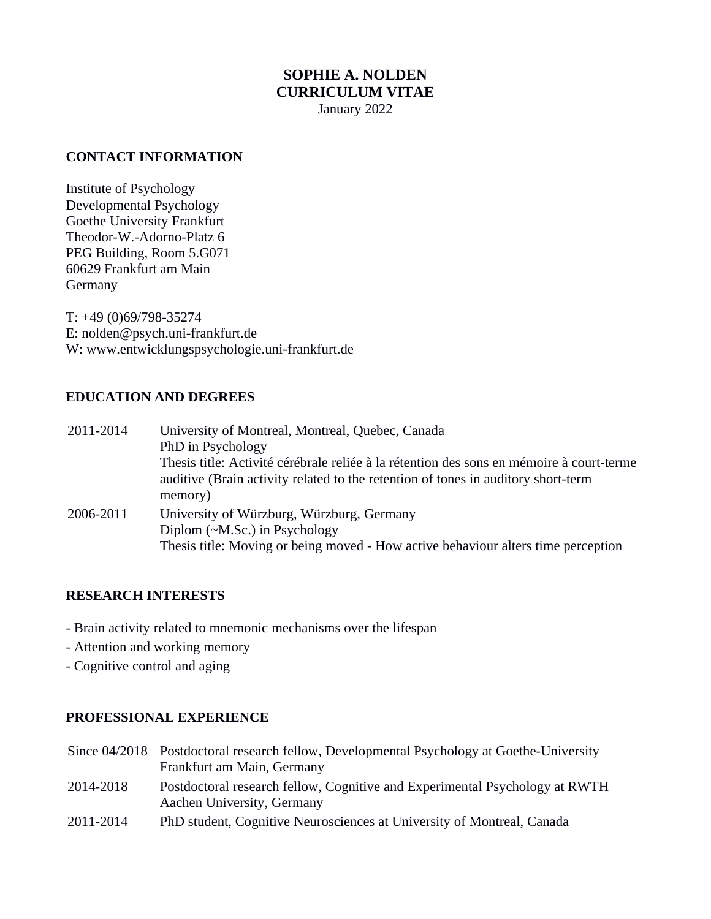# **SOPHIE A. NOLDEN CURRICULUM VITAE** January 2022

#### **CONTACT INFORMATION**

Institute of Psychology Developmental Psychology Goethe University Frankfurt Theodor-W.-Adorno-Platz 6 PEG Building, Room 5.G071 60629 Frankfurt am Main Germany

T: +49 (0)69/798-35274 E: nolden@psych.uni-frankfurt.de W: www.entwicklungspsychologie.uni-frankfurt.de

## **EDUCATION AND DEGREES**

| 2011-2014 | University of Montreal, Montreal, Quebec, Canada                                                                                                                                         |
|-----------|------------------------------------------------------------------------------------------------------------------------------------------------------------------------------------------|
|           | PhD in Psychology                                                                                                                                                                        |
|           | Thesis title: Activité cérébrale reliée à la rétention des sons en mémoire à court-terme<br>auditive (Brain activity related to the retention of tones in auditory short-term<br>memory) |
| 2006-2011 | University of Würzburg, Würzburg, Germany<br>Diplom ( $\sim M$ .Sc.) in Psychology<br>Thesis title: Moving or being moved - How active behaviour alters time perception                  |

## **RESEARCH INTERESTS**

- Brain activity related to mnemonic mechanisms over the lifespan
- Attention and working memory
- Cognitive control and aging

#### **PROFESSIONAL EXPERIENCE**

- Since 04/2018 Postdoctoral research fellow, Developmental Psychology at Goethe-University Frankfurt am Main, Germany
- 2014-2018 Postdoctoral research fellow, Cognitive and Experimental Psychology at RWTH Aachen University, Germany
- 2011-2014 PhD student, Cognitive Neurosciences at University of Montreal, Canada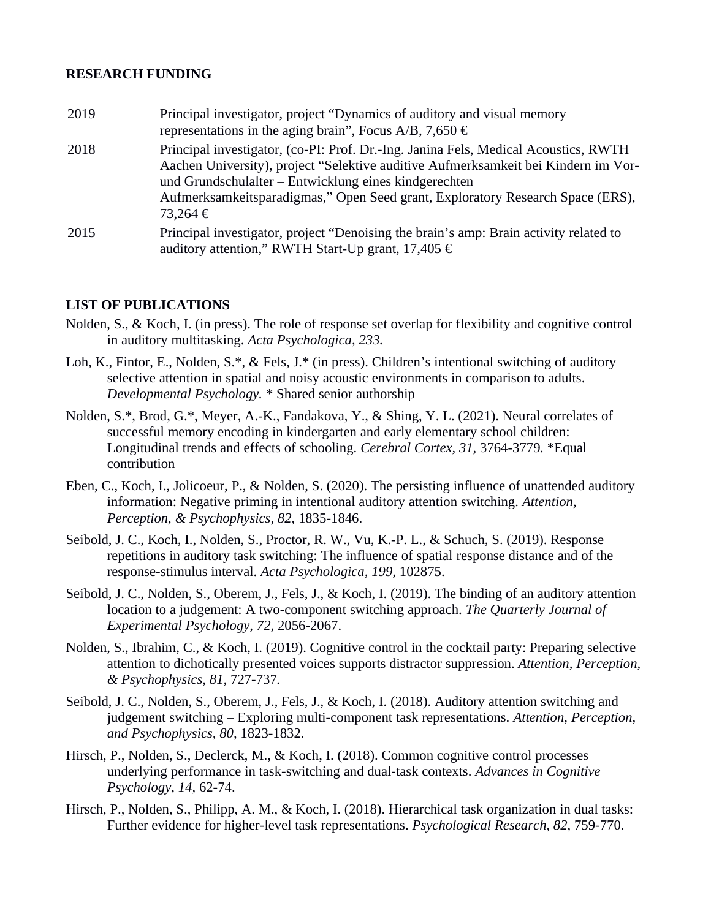#### **RESEARCH FUNDING**

2019 Principal investigator, project "Dynamics of auditory and visual memory representations in the aging brain", Focus A/B, 7,650  $\epsilon$ 2018 Principal investigator, (co-PI: Prof. Dr.-Ing. Janina Fels, Medical Acoustics, RWTH Aachen University), project "Selektive auditive Aufmerksamkeit bei Kindern im Vorund Grundschulalter – Entwicklung eines kindgerechten Aufmerksamkeitsparadigmas," Open Seed grant, Exploratory Research Space (ERS), 73,264 € 2015 Principal investigator, project "Denoising the brain's amp: Brain activity related to auditory attention," RWTH Start-Up grant, 17,405 €

## **LIST OF PUBLICATIONS**

- Nolden, S., & Koch, I. (in press). The role of response set overlap for flexibility and cognitive control in auditory multitasking. *Acta Psychologica, 233.*
- Loh, K., Fintor, E., Nolden, S.\*, & Fels, J.\* (in press). Children's intentional switching of auditory selective attention in spatial and noisy acoustic environments in comparison to adults. *Developmental Psychology.* \* Shared senior authorship
- Nolden, S.\*, Brod, G.\*, Meyer, A.-K., Fandakova, Y., & Shing, Y. L. (2021). Neural correlates of successful memory encoding in kindergarten and early elementary school children: Longitudinal trends and effects of schooling. *Cerebral Cortex, 31,* 3764-3779*.* \*Equal contribution
- Eben, C., Koch, I., Jolicoeur, P., & Nolden, S. (2020). The persisting influence of unattended auditory information: Negative priming in intentional auditory attention switching. *Attention, Perception, & Psychophysics, 82,* 1835-1846.
- Seibold, J. C., Koch, I., Nolden, S., Proctor, R. W., Vu, K.-P. L., & Schuch, S. (2019). Response repetitions in auditory task switching: The influence of spatial response distance and of the response-stimulus interval. *Acta Psychologica, 199,* 102875.
- Seibold, J. C., Nolden, S., Oberem, J., Fels, J., & Koch, I. (2019). The binding of an auditory attention location to a judgement: A two-component switching approach. *The Quarterly Journal of Experimental Psychology, 72,* 2056-2067.
- Nolden, S., Ibrahim, C., & Koch, I. (2019). Cognitive control in the cocktail party: Preparing selective attention to dichotically presented voices supports distractor suppression. *Attention, Perception, & Psychophysics, 81,* 727-737*.*
- Seibold, J. C., Nolden, S., Oberem, J., Fels, J., & Koch, I. (2018). Auditory attention switching and judgement switching – Exploring multi-component task representations. *Attention, Perception, and Psychophysics, 80,* 1823-1832.
- Hirsch, P., Nolden, S., Declerck, M., & Koch, I. (2018). Common cognitive control processes underlying performance in task-switching and dual-task contexts. *Advances in Cognitive Psychology, 14,* 62-74.
- Hirsch, P., Nolden, S., Philipp, A. M., & Koch, I. (2018). Hierarchical task organization in dual tasks: Further evidence for higher-level task representations. *Psychological Research, 82,* 759-770.